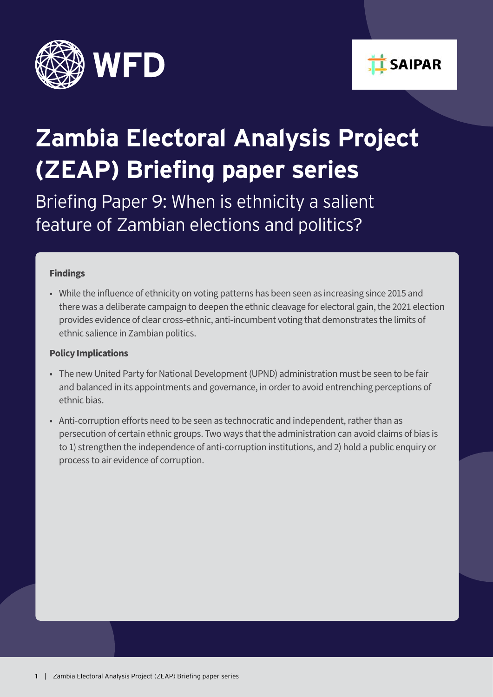



# **Zambia Electoral Analysis Project (ZEAP) Briefing paper series**

Briefing Paper 9: When is ethnicity a salient feature of Zambian elections and politics?

#### **Findings**

• While the influence of ethnicity on voting patterns has been seen as increasing since 2015 and there was a deliberate campaign to deepen the ethnic cleavage for electoral gain, the 2021 election provides evidence of clear cross-ethnic, anti-incumbent voting that demonstrates the limits of ethnic salience in Zambian politics.

#### **Policy Implications**

- The new United Party for National Development (UPND) administration must be seen to be fair and balanced in its appointments and governance, in order to avoid entrenching perceptions of ethnic bias.
- Anti-corruption efforts need to be seen as technocratic and independent, rather than as persecution of certain ethnic groups. Two ways that the administration can avoid claims of bias is to 1) strengthen the independence of anti-corruption institutions, and 2) hold a public enquiry or process to air evidence of corruption.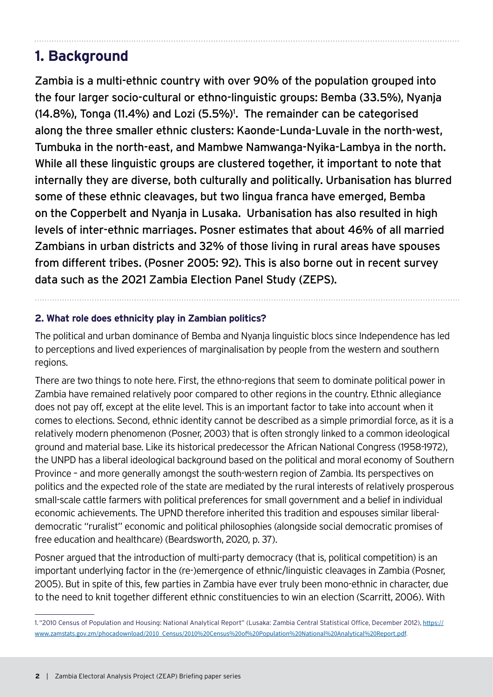# **1. Background**

Zambia is a multi-ethnic country with over 90% of the population grouped into the four larger socio-cultural or ethno-linguistic groups: Bemba (33.5%), Nyanja  $(14.8\%)$ , Tonga  $(11.4\%)$  and Lozi  $(5.5\%)$ <sup>1</sup>. The remainder can be categorised along the three smaller ethnic clusters: Kaonde-Lunda-Luvale in the north-west, Tumbuka in the north-east, and Mambwe Namwanga-Nyika-Lambya in the north. While all these linguistic groups are clustered together, it important to note that internally they are diverse, both culturally and politically. Urbanisation has blurred some of these ethnic cleavages, but two lingua franca have emerged, Bemba on the Copperbelt and Nyanja in Lusaka. Urbanisation has also resulted in high levels of inter-ethnic marriages. Posner estimates that about 46% of all married Zambians in urban districts and 32% of those living in rural areas have spouses from different tribes. (Posner 2005: 92). This is also borne out in recent survey data such as the 2021 Zambia Election Panel Study (ZEPS).

## **2. What role does ethnicity play in Zambian politics?**

The political and urban dominance of Bemba and Nyanja linguistic blocs since Independence has led to perceptions and lived experiences of marginalisation by people from the western and southern regions.

There are two things to note here. First, the ethno-regions that seem to dominate political power in Zambia have remained relatively poor compared to other regions in the country. Ethnic allegiance does not pay off, except at the elite level. This is an important factor to take into account when it comes to elections. Second, ethnic identity cannot be described as a simple primordial force, as it is a relatively modern phenomenon (Posner, 2003) that is often strongly linked to a common ideological ground and material base. Like its historical predecessor the African National Congress (1958-1972), the UNPD has a liberal ideological background based on the political and moral economy of Southern Province – and more generally amongst the south-western region of Zambia. Its perspectives on politics and the expected role of the state are mediated by the rural interests of relatively prosperous small-scale cattle farmers with political preferences for small government and a belief in individual economic achievements. The UPND therefore inherited this tradition and espouses similar liberaldemocratic "ruralist" economic and political philosophies (alongside social democratic promises of free education and healthcare) (Beardsworth, 2020, p. 37).

Posner argued that the introduction of multi-party democracy (that is, political competition) is an important underlying factor in the (re-)emergence of ethnic/linguistic cleavages in Zambia (Posner, 2005). But in spite of this, few parties in Zambia have ever truly been mono-ethnic in character, due to the need to knit together different ethnic constituencies to win an election (Scarritt, 2006). With

<sup>1.</sup> "2010 Census of Population and Housing: National Analytical Report" (Lusaka: Zambia Central Statistical Office, December 2012), [https://](https://www.zamstats.gov.zm/phocadownload/2010_Census/2010%20Census%20of%20Population%20National%20Analytical%20Report.pdf) [www.zamstats.gov.zm/phocadownload/2010\\_Census/2010%20Census%20of%20Population%20National%20Analytical%20Report.pdf](https://www.zamstats.gov.zm/phocadownload/2010_Census/2010%20Census%20of%20Population%20National%20Analytical%20Report.pdf).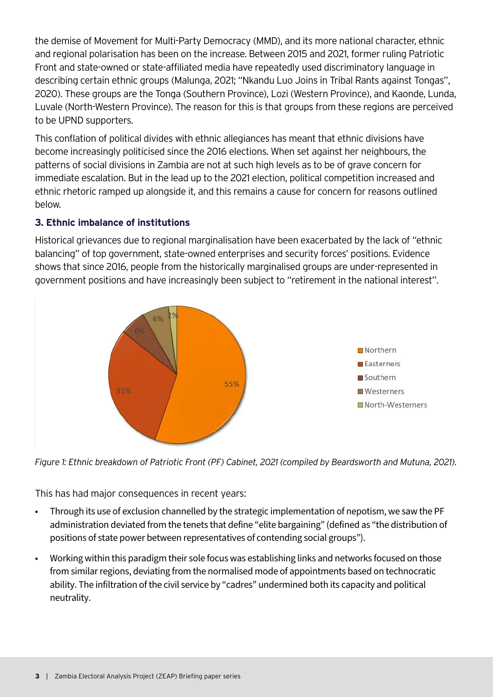the demise of Movement for Multi-Party Democracy (MMD), and its more national character, ethnic and regional polarisation has been on the increase. Between 2015 and 2021, former ruling Patriotic Front and state-owned or state-affiliated media have repeatedly used discriminatory language in describing certain ethnic groups (Malunga, 2021; "Nkandu Luo Joins in Tribal Rants against Tongas", 2020). These groups are the Tonga (Southern Province), Lozi (Western Province), and Kaonde, Lunda, Luvale (North-Western Province). The reason for this is that groups from these regions are perceived to be UPND supporters.

This conflation of political divides with ethnic allegiances has meant that ethnic divisions have become increasingly politicised since the 2016 elections. When set against her neighbours, the patterns of social divisions in Zambia are not at such high levels as to be of grave concern for immediate escalation. But in the lead up to the 2021 election, political competition increased and ethnic rhetoric ramped up alongside it, and this remains a cause for concern for reasons outlined below.

## **3. Ethnic imbalance of institutions**

Historical grievances due to regional marginalisation have been exacerbated by the lack of "ethnic balancing" of top government, state-owned enterprises and security forces' positions. Evidence shows that since 2016, people from the historically marginalised groups are under-represented in government positions and have increasingly been subject to "retirement in the national interest".



*Figure 1: Ethnic breakdown of Patriotic Front (PF) Cabinet, 2021 (compiled by Beardsworth and Mutuna, 2021).*

This has had major consequences in recent years:

- Through its use of exclusion channelled by the strategic implementation of nepotism, we saw the PF administration deviated from the tenets that define "elite bargaining" (defined as "the distribution of positions of state power between representatives of contending social groups").
- Working within this paradigm their sole focus was establishing links and networks focused on those from similar regions, deviating from the normalised mode of appointments based on technocratic ability. The infiltration of the civil service by "cadres" undermined both its capacity and political neutrality.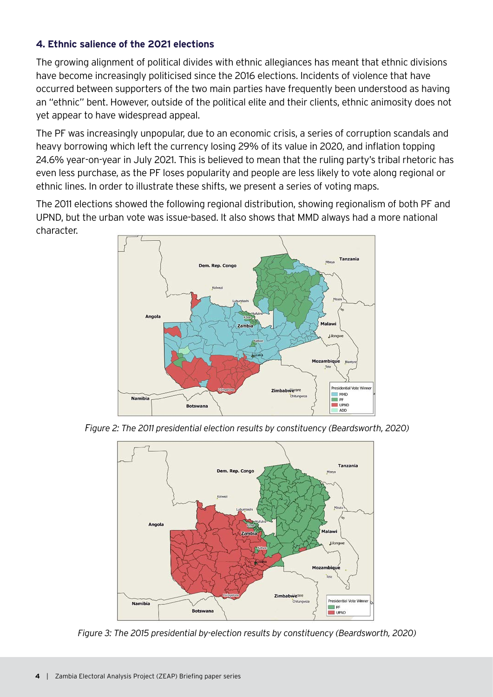### **4. Ethnic salience of the 2021 elections**

The growing alignment of political divides with ethnic allegiances has meant that ethnic divisions have become increasingly politicised since the 2016 elections. Incidents of violence that have occurred between supporters of the two main parties have frequently been understood as having an "ethnic" bent. However, outside of the political elite and their clients, ethnic animosity does not yet appear to have widespread appeal.

The PF was increasingly unpopular, due to an economic crisis, a series of corruption scandals and heavy borrowing which left the currency losing 29% of its value in 2020, and inflation topping 24.6% year-on-year in July 2021. This is believed to mean that the ruling party's tribal rhetoric has even less purchase, as the PF loses popularity and people are less likely to vote along regional or ethnic lines. In order to illustrate these shifts, we present a series of voting maps.

The 2011 elections showed the following regional distribution, showing regionalism of both PF and UPND, but the urban vote was issue-based. It also shows that MMD always had a more national character.



*Figure 2: The 2011 presidential election results by constituency (Beardsworth, 2020)*



*Figure 3: The 2015 presidential by-election results by constituency (Beardsworth, 2020)*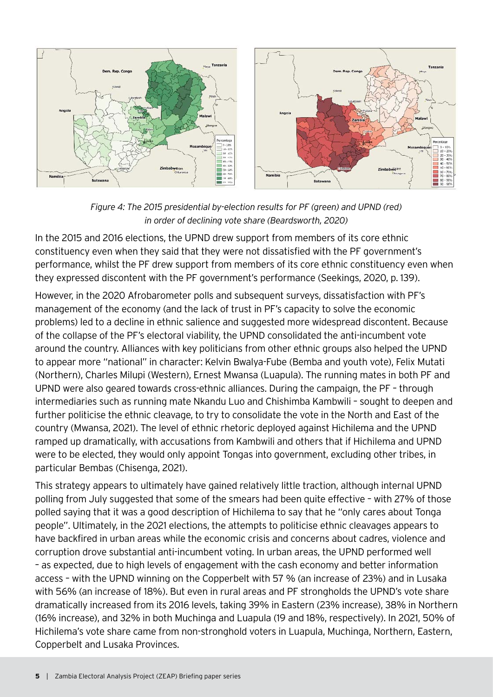

*Figure 4: The 2015 presidential by-election results for PF (green) and UPND (red) in order of declining vote share (Beardsworth, 2020)*

In the 2015 and 2016 elections, the UPND drew support from members of its core ethnic constituency even when they said that they were not dissatisfied with the PF government's performance, whilst the PF drew support from members of its core ethnic constituency even when they expressed discontent with the PF government's performance (Seekings, 2020, p. 139).

However, in the 2020 Afrobarometer polls and subsequent surveys, dissatisfaction with PF's management of the economy (and the lack of trust in PF's capacity to solve the economic problems) led to a decline in ethnic salience and suggested more widespread discontent. Because of the collapse of the PF's electoral viability, the UPND consolidated the anti-incumbent vote around the country. Alliances with key politicians from other ethnic groups also helped the UPND to appear more "national" in character: Kelvin Bwalya-Fube (Bemba and youth vote), Felix Mutati (Northern), Charles Milupi (Western), Ernest Mwansa (Luapula). The running mates in both PF and UPND were also geared towards cross-ethnic alliances. During the campaign, the PF – through intermediaries such as running mate Nkandu Luo and Chishimba Kambwili – sought to deepen and further politicise the ethnic cleavage, to try to consolidate the vote in the North and East of the country (Mwansa, 2021). The level of ethnic rhetoric deployed against Hichilema and the UPND ramped up dramatically, with accusations from Kambwili and others that if Hichilema and UPND were to be elected, they would only appoint Tongas into government, excluding other tribes, in particular Bembas (Chisenga, 2021).

This strategy appears to ultimately have gained relatively little traction, although internal UPND polling from July suggested that some of the smears had been quite effective – with 27% of those polled saying that it was a good description of Hichilema to say that he "only cares about Tonga people". Ultimately, in the 2021 elections, the attempts to politicise ethnic cleavages appears to have backfired in urban areas while the economic crisis and concerns about cadres, violence and corruption drove substantial anti-incumbent voting. In urban areas, the UPND performed well – as expected, due to high levels of engagement with the cash economy and better information access – with the UPND winning on the Copperbelt with 57 % (an increase of 23%) and in Lusaka with 56% (an increase of 18%). But even in rural areas and PF strongholds the UPND's vote share dramatically increased from its 2016 levels, taking 39% in Eastern (23% increase), 38% in Northern (16% increase), and 32% in both Muchinga and Luapula (19 and 18%, respectively). In 2021, 50% of Hichilema's vote share came from non-stronghold voters in Luapula, Muchinga, Northern, Eastern, Copperbelt and Lusaka Provinces.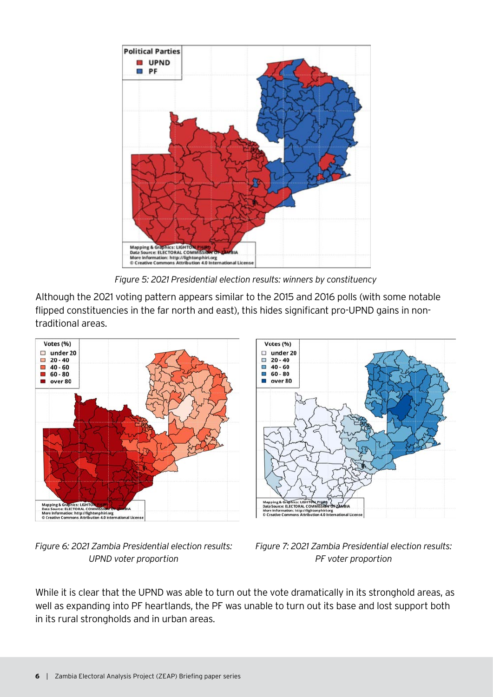

*Figure 5: 2021 Presidential election results: winners by constituency* 

Although the 2021 voting pattern appears similar to the 2015 and 2016 polls (with some notable flipped constituencies in the far north and east), this hides significant pro-UPND gains in nontraditional areas.



*Figure 6: 2021 Zambia Presidential election results: UPND voter proportion*



national Licens

hiri.org<br>4.0 Inte

While it is clear that the UPND was able to turn out the vote dramatically in its stronghold areas, as well as expanding into PF heartlands, the PF was unable to turn out its base and lost support both in its rural strongholds and in urban areas.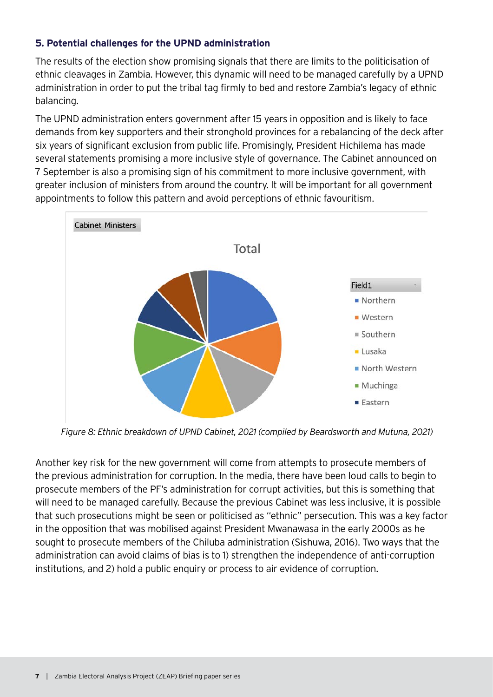## **5. Potential challenges for the UPND administration**

The results of the election show promising signals that there are limits to the politicisation of ethnic cleavages in Zambia. However, this dynamic will need to be managed carefully by a UPND administration in order to put the tribal tag firmly to bed and restore Zambia's legacy of ethnic balancing.

The UPND administration enters government after 15 years in opposition and is likely to face demands from key supporters and their stronghold provinces for a rebalancing of the deck after six years of significant exclusion from public life. Promisingly, President Hichilema has made several statements promising a more inclusive style of governance. The Cabinet announced on 7 September is also a promising sign of his commitment to more inclusive government, with greater inclusion of ministers from around the country. It will be important for all government appointments to follow this pattern and avoid perceptions of ethnic favouritism.



*Figure 8: Ethnic breakdown of UPND Cabinet, 2021 (compiled by Beardsworth and Mutuna, 2021)*

Another key risk for the new government will come from attempts to prosecute members of the previous administration for corruption. In the media, there have been loud calls to begin to prosecute members of the PF's administration for corrupt activities, but this is something that will need to be managed carefully. Because the previous Cabinet was less inclusive, it is possible that such prosecutions might be seen or politicised as "ethnic" persecution. This was a key factor in the opposition that was mobilised against President Mwanawasa in the early 2000s as he sought to prosecute members of the Chiluba administration (Sishuwa, 2016). Two ways that the administration can avoid claims of bias is to 1) strengthen the independence of anti-corruption institutions, and 2) hold a public enquiry or process to air evidence of corruption.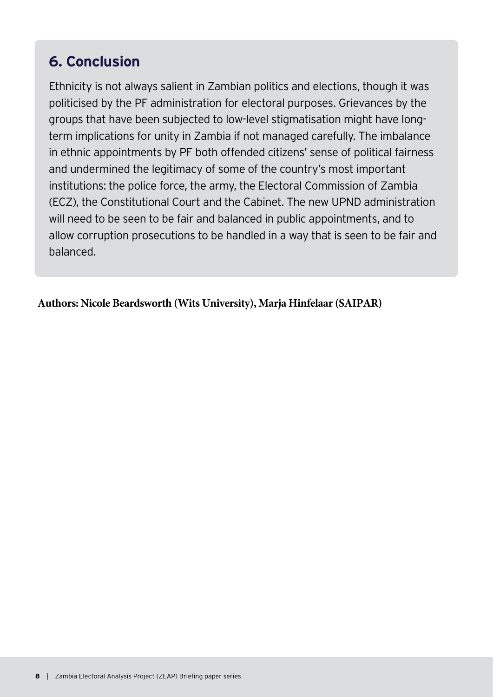# **6. Conclusion**

Ethnicity is not always salient in Zambian politics and elections, though it was politicised by the PF administration for electoral purposes. Grievances by the groups that have been subjected to low-level stigmatisation might have longterm implications for unity in Zambia if not managed carefully. The imbalance in ethnic appointments by PF both offended citizens' sense of political fairness and undermined the legitimacy of some of the country's most important institutions: the police force, the army, the Electoral Commission of Zambia (ECZ), the Constitutional Court and the Cabinet. The new UPND administration will need to be seen to be fair and balanced in public appointments, and to allow corruption prosecutions to be handled in a way that is seen to be fair and balanced.

**Authors: Nicole Beardsworth (Wits University), Marja Hinfelaar (SAIPAR)**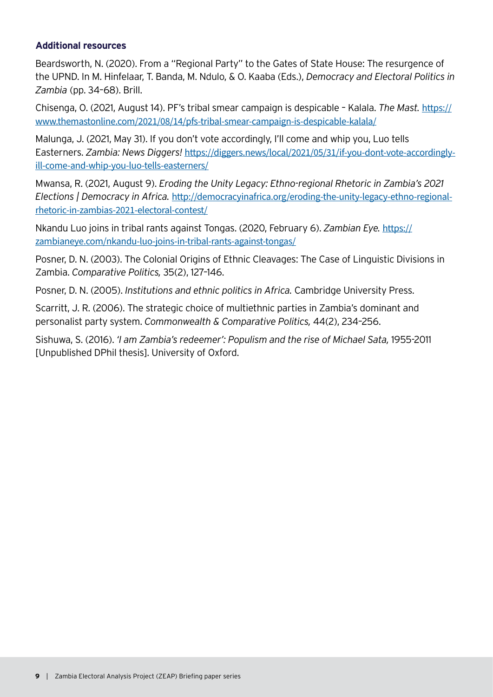#### **Additional resources**

Beardsworth, N. (2020). From a "Regional Party" to the Gates of State House: The resurgence of the UPND. In M. Hinfelaar, T. Banda, M. Ndulo, & O. Kaaba (Eds.), *Democracy and Electoral Politics in Zambia* (pp. 34–68). Brill.

Chisenga, O. (2021, August 14). PF's tribal smear campaign is despicable – Kalala. *The Mast.* [https://](https://www.themastonline.com/2021/08/14/pfs-tribal-smear-campaign-is-despicable-kalala/) [www.themastonline.com/2021/08/14/pfs-tribal-smear-campaign-is-despicable-kalala/](https://www.themastonline.com/2021/08/14/pfs-tribal-smear-campaign-is-despicable-kalala/)

Malunga, J. (2021, May 31). If you don't vote accordingly, I'll come and whip you, Luo tells Easterners. *Zambia: News Diggers!* [https://diggers.news/local/2021/05/31/if-you-dont-vote-accordingly](https://diggers.news/local/2021/05/31/if-you-dont-vote-accordingly-ill-come-and-whip-you-luo-tells-easterners/)[ill-come-and-whip-you-luo-tells-easterners/](https://diggers.news/local/2021/05/31/if-you-dont-vote-accordingly-ill-come-and-whip-you-luo-tells-easterners/)

Mwansa, R. (2021, August 9). *Eroding the Unity Legacy: Ethno-regional Rhetoric in Zambia's 2021 Elections | Democracy in Africa.* [http://democracyinafrica.org/eroding-the-unity-legacy-ethno-regional](http://democracyinafrica.org/eroding-the-unity-legacy-ethno-regional-rhetoric-in-zambias-2021-electoral-contest/)[rhetoric-in-zambias-2021-electoral-contest/](http://democracyinafrica.org/eroding-the-unity-legacy-ethno-regional-rhetoric-in-zambias-2021-electoral-contest/)

Nkandu Luo joins in tribal rants against Tongas. (2020, February 6). *Zambian Eye.* [https://](https://zambianeye.com/nkandu-luo-joins-in-tribal-rants-against-tongas/) [zambianeye.com/nkandu-luo-joins-in-tribal-rants-against-tongas/](https://zambianeye.com/nkandu-luo-joins-in-tribal-rants-against-tongas/)

Posner, D. N. (2003). The Colonial Origins of Ethnic Cleavages: The Case of Linguistic Divisions in Zambia. *Comparative Politics,* 35(2), 127–146.

Posner, D. N. (2005). *Institutions and ethnic politics in Africa.* Cambridge University Press.

Scarritt, J. R. (2006). The strategic choice of multiethnic parties in Zambia's dominant and personalist party system. *Commonwealth & Comparative Politics,* 44(2), 234–256.

Sishuwa, S. (2016). *'I am Zambia's redeemer': Populism and the rise of Michael Sata,* 1955-2011 [Unpublished DPhil thesis]. University of Oxford.